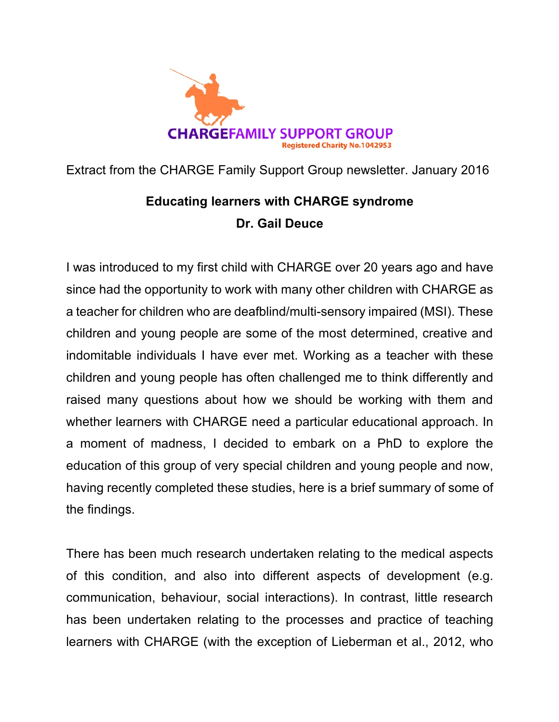

Extract from the CHARGE Family Support Group newsletter. January 2016

# **Educating learners with CHARGE syndrome** Dr. Gail Deuce

I was introduced to my first child with CHARGE over 20 years ago and have since had the opportunity to work with many other children with CHARGE as a teacher for children who are deafblind/multi-sensory impaired (MSI). These children and young people are some of the most determined, creative and indomitable individuals I have ever met. Working as a teacher with these children and young people has often challenged me to think differently and raised many questions about how we should be working with them and whether learners with CHARGE need a particular educational approach. In a moment of madness, I decided to embark on a PhD to explore the education of this group of very special children and young people and now, having recently completed these studies, here is a brief summary of some of the findings.

There has been much research undertaken relating to the medical aspects of this condition, and also into different aspects of development (e.g. communication, behaviour, social interactions). In contrast, little research has been undertaken relating to the processes and practice of teaching learners with CHARGE (with the exception of Lieberman et al., 2012, who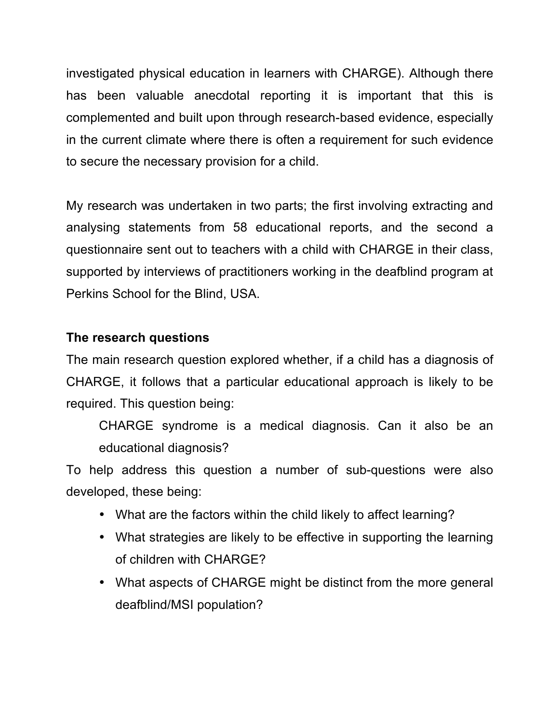investigated physical education in learners with CHARGE). Although there has been valuable anecdotal reporting it is important that this is complemented and built upon through research-based evidence, especially in the current climate where there is often a requirement for such evidence to secure the necessary provision for a child.

My research was undertaken in two parts; the first involving extracting and analysing statements from 58 educational reports, and the second a questionnaire sent out to teachers with a child with CHARGE in their class, supported by interviews of practitioners working in the deafblind program at Perkins School for the Blind, USA.

## **The research questions**

The main research question explored whether, if a child has a diagnosis of CHARGE, it follows that a particular educational approach is likely to be required. This question being:

CHARGE syndrome is a medical diagnosis. Can it also be an educational diagnosis?

To help address this question a number of sub-questions were also developed, these being:

- What are the factors within the child likely to affect learning?
- What strategies are likely to be effective in supporting the learning of children with CHARGE?
- What aspects of CHARGE might be distinct from the more general deafblind/MSI population?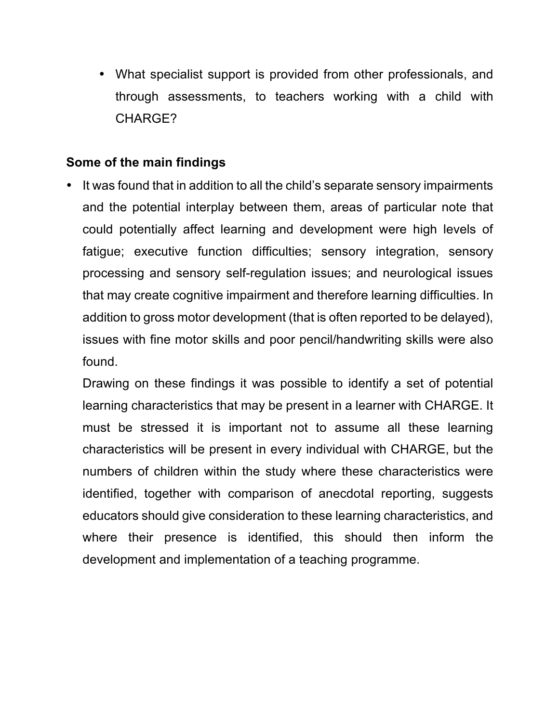• What specialist support is provided from other professionals, and through assessments, to teachers working with a child with CHARGE?

### **Some of the main findings**

• It was found that in addition to all the child's separate sensory impairments and the potential interplay between them, areas of particular note that could potentially affect learning and development were high levels of fatique; executive function difficulties; sensory integration, sensory processing and sensory self-regulation issues; and neurological issues that may create cognitive impairment and therefore learning difficulties. In addition to gross motor development (that is often reported to be delayed), issues with fine motor skills and poor pencil/handwriting skills were also found.

Drawing on these findings it was possible to identify a set of potential learning characteristics that may be present in a learner with CHARGE. It must be stressed it is important not to assume all these learning characteristics will be present in every individual with CHARGE, but the numbers of children within the study where these characteristics were identified, together with comparison of anecdotal reporting, suggests educators should give consideration to these learning characteristics, and where their presence is identified, this should then inform the development and implementation of a teaching programme.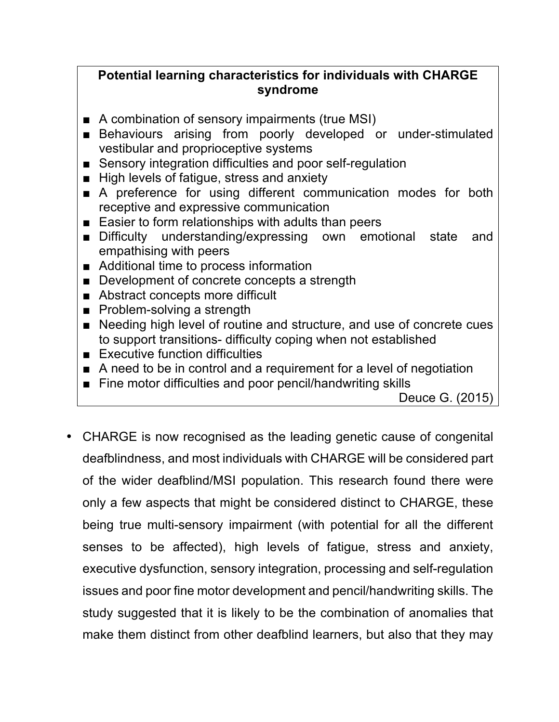## Potential learning characteristics for individuals with CHARGE **syndrome**

- $\blacksquare$  A combination of sensory impairments (true MSI)
- Behaviours arising from poorly developed or under-stimulated vestibular and proprioceptive systems
- Sensory integration difficulties and poor self-regulation
- High levels of fatigue, stress and anxiety
- A preference for using different communication modes for both receptive and expressive communication
- Easier to form relationships with adults than peers
- Difficulty understanding/expressing own emotional state and empathising with peers
- $\blacksquare$  Additional time to process information
- Development of concrete concepts a strength
- Abstract concepts more difficult
- **■** Problem-solving a strength
- Needing high level of routine and structure, and use of concrete cues to support transitions- difficulty coping when not established
- $\blacksquare$  Executive function difficulties
- A need to be in control and a requirement for a level of negotiation
- Fine motor difficulties and poor pencil/handwriting skills

Deuce G. (2015)

• CHARGE is now recognised as the leading genetic cause of congenital deafblindness, and most individuals with CHARGE will be considered part of the wider deafblind/MSI population. This research found there were only a few aspects that might be considered distinct to CHARGE, these being true multi-sensory impairment (with potential for all the different senses to be affected), high levels of fatigue, stress and anxiety, executive dysfunction, sensory integration, processing and self-regulation issues and poor fine motor development and pencil/handwriting skills. The study suggested that it is likely to be the combination of anomalies that make them distinct from other deafblind learners, but also that they may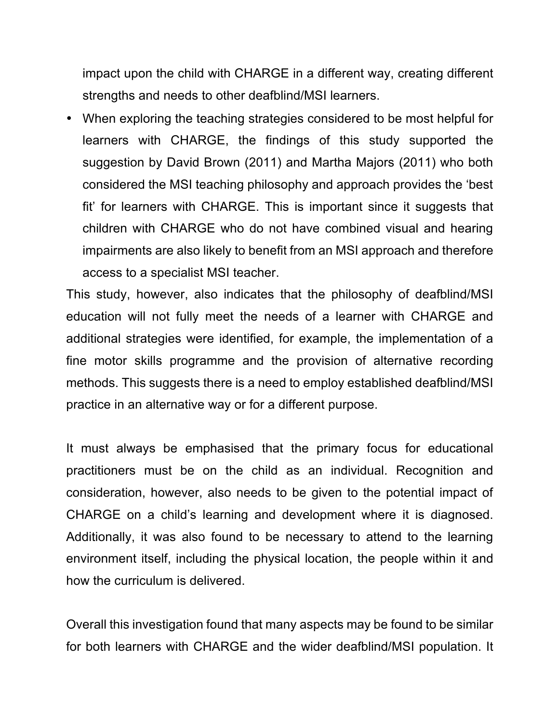impact upon the child with CHARGE in a different way, creating different strengths and needs to other deafblind/MSI learners.

• When exploring the teaching strategies considered to be most helpful for learners with CHARGE, the findings of this study supported the suggestion by David Brown (2011) and Martha Majors (2011) who both considered the MSI teaching philosophy and approach provides the 'best" fit' for learners with CHARGE. This is important since it suggests that children with CHARGE who do not have combined visual and hearing impairments are also likely to benefit from an MSI approach and therefore access to a specialist MSI teacher.

This study, however, also indicates that the philosophy of deafblind/MSI education will not fully meet the needs of a learner with CHARGE and additional strategies were identified, for example, the implementation of a fine motor skills programme and the provision of alternative recording methods. This suggests there is a need to employ established deafblind/MSI practice in an alternative way or for a different purpose.

It must always be emphasised that the primary focus for educational practitioners must be on the child as an individual. Recognition and consideration, however, also needs to be given to the potential impact of CHARGE on a child's learning and development where it is diagnosed. Additionally, it was also found to be necessary to attend to the learning environment itself, including the physical location, the people within it and how the curriculum is delivered.

Overall this investigation found that many aspects may be found to be similar for both learners with CHARGE and the wider deafblind/MSI population. It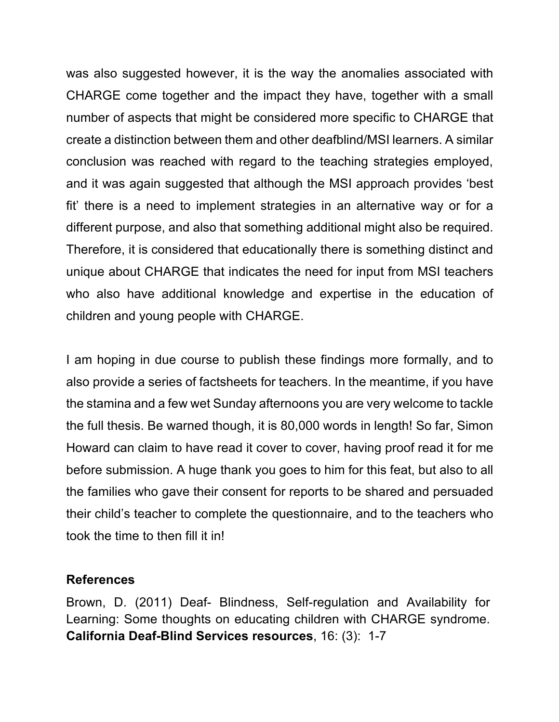was also suggested however, it is the way the anomalies associated with CHARGE come together and the impact they have, together with a small number of aspects that might be considered more specific to CHARGE that create a distinction between them and other deafblind/MSI learners. A similar conclusion was reached with regard to the teaching strategies employed, and it was again suggested that although the MSI approach provides 'best fit' there is a need to implement strategies in an alternative way or for a different purpose, and also that something additional might also be required. Therefore, it is considered that educationally there is something distinct and unique about CHARGE that indicates the need for input from MSI teachers who also have additional knowledge and expertise in the education of children and young people with CHARGE.

I am hoping in due course to publish these findings more formally, and to also provide a series of factsheets for teachers. In the meantime, if you have the stamina and a few wet Sunday afternoons you are very welcome to tackle the full thesis. Be warned though, it is 80,000 words in length! So far, Simon Howard can claim to have read it cover to cover, having proof read it for me before submission. A huge thank you goes to him for this feat, but also to all the families who gave their consent for reports to be shared and persuaded their child's teacher to complete the questionnaire, and to the teachers who took the time to then fill it in!

#### **References**

Brown, D. (2011) Deaf- Blindness, Self-regulation and Availability for Learning: Some thoughts on educating children with CHARGE syndrome. **California Deaf-Blind Services resources**, 16: (3): 1-7